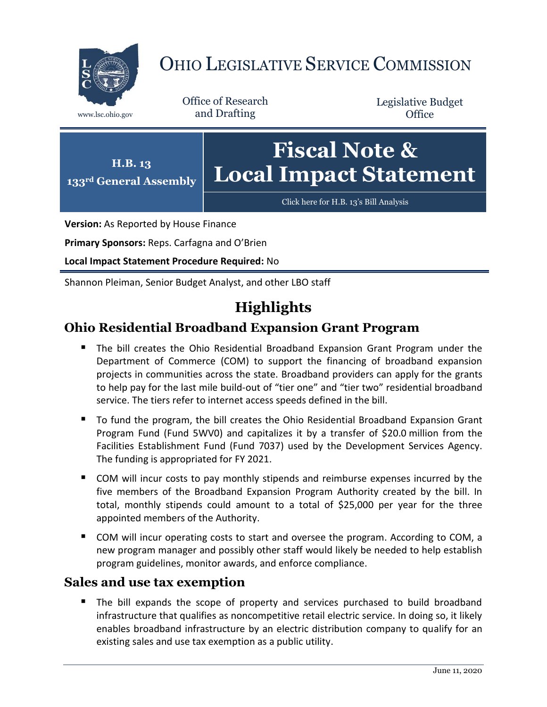

# OHIO LEGISLATIVE SERVICE COMMISSION

Office of Research www.lsc.ohio.gov and Drafting

Legislative Budget **Office** 



**Version:** As Reported by House Finance

**Primary Sponsors:** Reps. Carfagna and O'Brien

**Local Impact Statement Procedure Required:** No

Shannon Pleiman, Senior Budget Analyst, and other LBO staff

# **Highlights**

### **Ohio Residential Broadband Expansion Grant Program**

- **The bill creates the Ohio Residential Broadband Expansion Grant Program under the** Department of Commerce (COM) to support the financing of broadband expansion projects in communities across the state. Broadband providers can apply for the grants to help pay for the last mile build-out of "tier one" and "tier two" residential broadband service. The tiers refer to internet access speeds defined in the bill.
- To fund the program, the bill creates the Ohio Residential Broadband Expansion Grant Program Fund (Fund 5WV0) and capitalizes it by a transfer of \$20.0 million from the Facilities Establishment Fund (Fund 7037) used by the Development Services Agency. The funding is appropriated for FY 2021.
- COM will incur costs to pay monthly stipends and reimburse expenses incurred by the five members of the Broadband Expansion Program Authority created by the bill. In total, monthly stipends could amount to a total of \$25,000 per year for the three appointed members of the Authority.
- COM will incur operating costs to start and oversee the program. According to COM, a new program manager and possibly other staff would likely be needed to help establish program guidelines, monitor awards, and enforce compliance.

### **Sales and use tax exemption**

 The bill expands the scope of property and services purchased to build broadband infrastructure that qualifies as noncompetitive retail electric service. In doing so, it likely enables broadband infrastructure by an electric distribution company to qualify for an existing sales and use tax exemption as a public utility.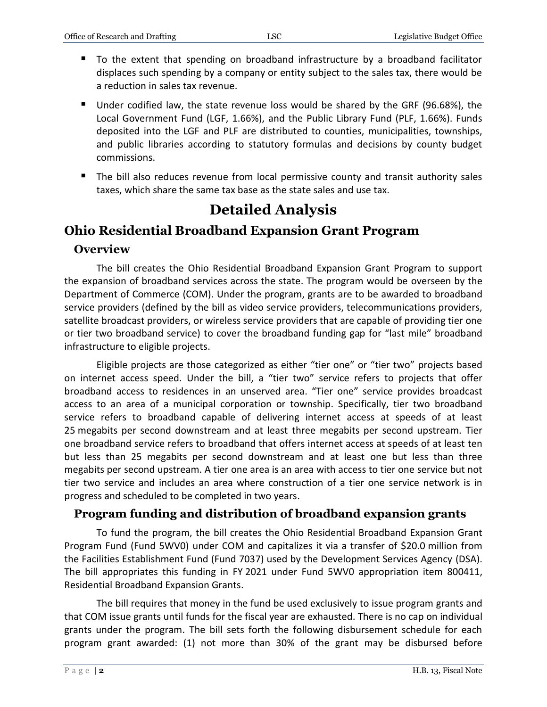- To the extent that spending on broadband infrastructure by a broadband facilitator displaces such spending by a company or entity subject to the sales tax, there would be a reduction in sales tax revenue.
- Under codified law, the state revenue loss would be shared by the GRF (96.68%), the Local Government Fund (LGF, 1.66%), and the Public Library Fund (PLF, 1.66%). Funds deposited into the LGF and PLF are distributed to counties, municipalities, townships, and public libraries according to statutory formulas and decisions by county budget commissions.
- The bill also reduces revenue from local permissive county and transit authority sales taxes, which share the same tax base as the state sales and use tax.

# **Detailed Analysis**

## **Ohio Residential Broadband Expansion Grant Program**

### **Overview**

The bill creates the Ohio Residential Broadband Expansion Grant Program to support the expansion of broadband services across the state. The program would be overseen by the Department of Commerce (COM). Under the program, grants are to be awarded to broadband service providers (defined by the bill as video service providers, telecommunications providers, satellite broadcast providers, or wireless service providers that are capable of providing tier one or tier two broadband service) to cover the broadband funding gap for "last mile" broadband infrastructure to eligible projects.

Eligible projects are those categorized as either "tier one" or "tier two" projects based on internet access speed. Under the bill, a "tier two" service refers to projects that offer broadband access to residences in an unserved area. "Tier one" service provides broadcast access to an area of a municipal corporation or township. Specifically, tier two broadband service refers to broadband capable of delivering internet access at speeds of at least 25 megabits per second downstream and at least three megabits per second upstream. Tier one broadband service refers to broadband that offers internet access at speeds of at least ten but less than 25 megabits per second downstream and at least one but less than three megabits per second upstream. A tier one area is an area with access to tier one service but not tier two service and includes an area where construction of a tier one service network is in progress and scheduled to be completed in two years.

### **Program funding and distribution of broadband expansion grants**

To fund the program, the bill creates the Ohio Residential Broadband Expansion Grant Program Fund (Fund 5WV0) under COM and capitalizes it via a transfer of \$20.0 million from the Facilities Establishment Fund (Fund 7037) used by the Development Services Agency (DSA). The bill appropriates this funding in FY 2021 under Fund 5WV0 appropriation item 800411, Residential Broadband Expansion Grants.

The bill requires that money in the fund be used exclusively to issue program grants and that COM issue grants until funds for the fiscal year are exhausted. There is no cap on individual grants under the program. The bill sets forth the following disbursement schedule for each program grant awarded: (1) not more than 30% of the grant may be disbursed before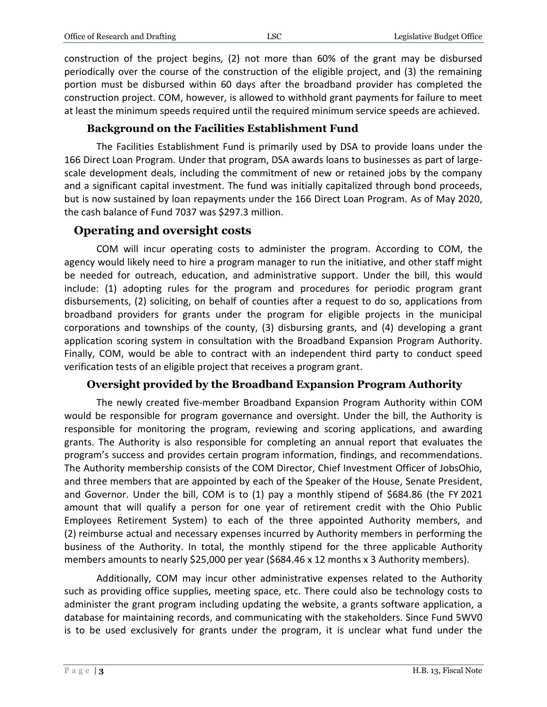construction of the project begins, (2) not more than 60% of the grant may be disbursed periodically over the course of the construction of the eligible project, and (3) the remaining portion must be disbursed within 60 days after the broadband provider has completed the construction project. COM, however, is allowed to withhold grant payments for failure to meet at least the minimum speeds required until the required minimum service speeds are achieved.

#### **Background on the Facilities Establishment Fund**

The Facilities Establishment Fund is primarily used by DSA to provide loans under the 166 Direct Loan Program. Under that program, DSA awards loans to businesses as part of largescale development deals, including the commitment of new or retained jobs by the company and a significant capital investment. The fund was initially capitalized through bond proceeds, but is now sustained by loan repayments under the 166 Direct Loan Program. As of May 2020, the cash balance of Fund 7037 was \$297.3 million.

#### **Operating and oversight costs**

COM will incur operating costs to administer the program. According to COM, the agency would likely need to hire a program manager to run the initiative, and other staff might be needed for outreach, education, and administrative support. Under the bill, this would include: (1) adopting rules for the program and procedures for periodic program grant disbursements, (2) soliciting, on behalf of counties after a request to do so, applications from broadband providers for grants under the program for eligible projects in the municipal corporations and townships of the county, (3) disbursing grants, and (4) developing a grant application scoring system in consultation with the Broadband Expansion Program Authority. Finally, COM, would be able to contract with an independent third party to conduct speed verification tests of an eligible project that receives a program grant.

#### **Oversight provided by the Broadband Expansion Program Authority**

The newly created five-member Broadband Expansion Program Authority within COM would be responsible for program governance and oversight. Under the bill, the Authority is responsible for monitoring the program, reviewing and scoring applications, and awarding grants. The Authority is also responsible for completing an annual report that evaluates the program's success and provides certain program information, findings, and recommendations. The Authority membership consists of the COM Director, Chief Investment Officer of JobsOhio, and three members that are appointed by each of the Speaker of the House, Senate President, and Governor. Under the bill, COM is to (1) pay a monthly stipend of \$684.86 (the FY 2021 amount that will qualify a person for one year of retirement credit with the Ohio Public Employees Retirement System) to each of the three appointed Authority members, and (2) reimburse actual and necessary expenses incurred by Authority members in performing the business of the Authority. In total, the monthly stipend for the three applicable Authority members amounts to nearly \$25,000 per year (\$684.46 x 12 months x 3 Authority members).

Additionally, COM may incur other administrative expenses related to the Authority such as providing office supplies, meeting space, etc. There could also be technology costs to administer the grant program including updating the website, a grants software application, a database for maintaining records, and communicating with the stakeholders. Since Fund 5WV0 is to be used exclusively for grants under the program, it is unclear what fund under the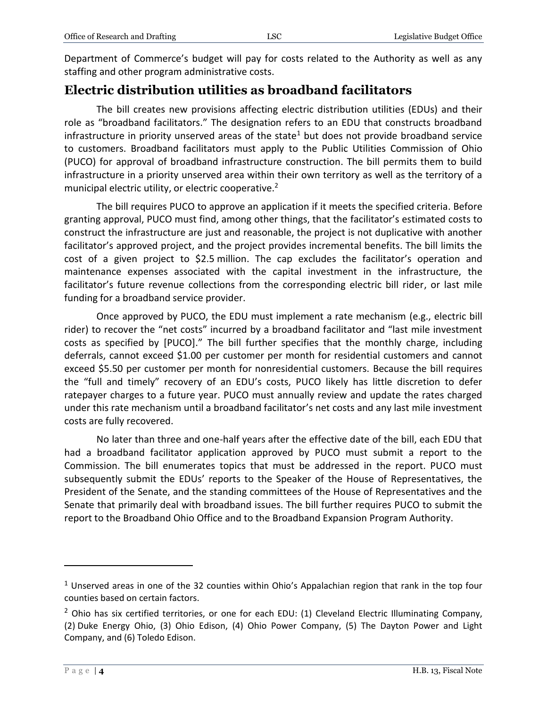Department of Commerce's budget will pay for costs related to the Authority as well as any staffing and other program administrative costs.

### **Electric distribution utilities as broadband facilitators**

The bill creates new provisions affecting electric distribution utilities (EDUs) and their role as "broadband facilitators." The designation refers to an EDU that constructs broadband infrastructure in priority unserved areas of the state<sup>1</sup> but does not provide broadband service to customers. Broadband facilitators must apply to the Public Utilities Commission of Ohio (PUCO) for approval of broadband infrastructure construction. The bill permits them to build infrastructure in a priority unserved area within their own territory as well as the territory of a municipal electric utility, or electric cooperative.<sup>2</sup>

The bill requires PUCO to approve an application if it meets the specified criteria. Before granting approval, PUCO must find, among other things, that the facilitator's estimated costs to construct the infrastructure are just and reasonable, the project is not duplicative with another facilitator's approved project, and the project provides incremental benefits. The bill limits the cost of a given project to \$2.5 million. The cap excludes the facilitator's operation and maintenance expenses associated with the capital investment in the infrastructure, the facilitator's future revenue collections from the corresponding electric bill rider, or last mile funding for a broadband service provider.

Once approved by PUCO, the EDU must implement a rate mechanism (e.g., electric bill rider) to recover the "net costs" incurred by a broadband facilitator and "last mile investment costs as specified by [PUCO]." The bill further specifies that the monthly charge, including deferrals, cannot exceed \$1.00 per customer per month for residential customers and cannot exceed \$5.50 per customer per month for nonresidential customers. Because the bill requires the "full and timely" recovery of an EDU's costs, PUCO likely has little discretion to defer ratepayer charges to a future year. PUCO must annually review and update the rates charged under this rate mechanism until a broadband facilitator's net costs and any last mile investment costs are fully recovered.

No later than three and one-half years after the effective date of the bill, each EDU that had a broadband facilitator application approved by PUCO must submit a report to the Commission. The bill enumerates topics that must be addressed in the report. PUCO must subsequently submit the EDUs' reports to the Speaker of the House of Representatives, the President of the Senate, and the standing committees of the House of Representatives and the Senate that primarily deal with broadband issues. The bill further requires PUCO to submit the report to the Broadband Ohio Office and to the Broadband Expansion Program Authority.

 $\overline{a}$ 

<sup>&</sup>lt;sup>1</sup> Unserved areas in one of the 32 counties within Ohio's Appalachian region that rank in the top four counties based on certain factors.

 $2$  Ohio has six certified territories, or one for each EDU: (1) Cleveland Electric Illuminating Company, (2) Duke Energy Ohio, (3) Ohio Edison, (4) Ohio Power Company, (5) The Dayton Power and Light Company, and (6) Toledo Edison.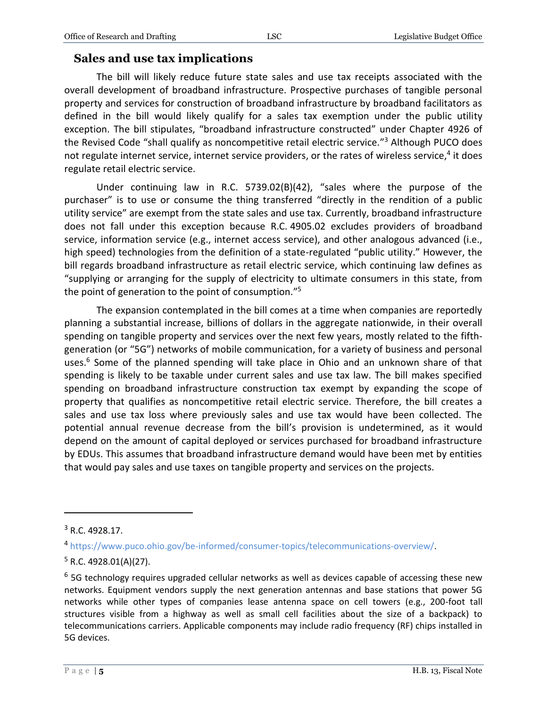#### **Sales and use tax implications**

The bill will likely reduce future state sales and use tax receipts associated with the overall development of broadband infrastructure. Prospective purchases of tangible personal property and services for construction of broadband infrastructure by broadband facilitators as defined in the bill would likely qualify for a sales tax exemption under the public utility exception. The bill stipulates, "broadband infrastructure constructed" under Chapter 4926 of the Revised Code "shall qualify as noncompetitive retail electric service."<sup>3</sup> Although PUCO does not regulate internet service, internet service providers, or the rates of wireless service,<sup>4</sup> it does regulate retail electric service.

Under continuing law in R.C. 5739.02(B)(42), "sales where the purpose of the purchaser" is to use or consume the thing transferred "directly in the rendition of a public utility service" are exempt from the state sales and use tax. Currently, broadband infrastructure does not fall under this exception because R.C. 4905.02 excludes providers of broadband service, information service (e.g., internet access service), and other analogous advanced (i.e., high speed) technologies from the definition of a state-regulated "public utility." However, the bill regards broadband infrastructure as retail electric service, which continuing law defines as "supplying or arranging for the supply of electricity to ultimate consumers in this state, from the point of generation to the point of consumption." 5

The expansion contemplated in the bill comes at a time when companies are reportedly planning a substantial increase, billions of dollars in the aggregate nationwide, in their overall spending on tangible property and services over the next few years, mostly related to the fifthgeneration (or "5G") networks of mobile communication, for a variety of business and personal uses.<sup>6</sup> Some of the planned spending will take place in Ohio and an unknown share of that spending is likely to be taxable under current sales and use tax law. The bill makes specified spending on broadband infrastructure construction tax exempt by expanding the scope of property that qualifies as noncompetitive retail electric service. Therefore, the bill creates a sales and use tax loss where previously sales and use tax would have been collected. The potential annual revenue decrease from the bill's provision is undetermined, as it would depend on the amount of capital deployed or services purchased for broadband infrastructure by EDUs. This assumes that broadband infrastructure demand would have been met by entities that would pay sales and use taxes on tangible property and services on the projects.

 $\overline{a}$ 

 $3$  R.C. 4928.17.

<sup>4</sup> [https://www.puco.ohio.gov/be-informed/consumer-topics/telecommunications-overview/.](https://www.puco.ohio.gov/be-informed/consumer-topics/telecommunications-overview/)

 $5$  R.C. 4928.01(A)(27).

 $6$  5G technology requires upgraded cellular networks as well as devices capable of accessing these new networks. Equipment vendors supply the next generation antennas and base stations that power 5G networks while other types of companies lease antenna space on cell towers (e.g., 200-foot tall structures visible from a highway as well as small cell facilities about the size of a backpack) to telecommunications carriers. Applicable components may include radio frequency (RF) chips installed in 5G devices.